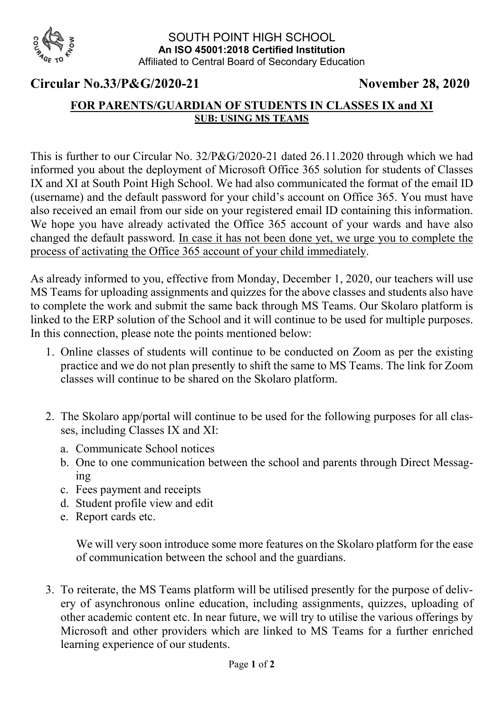

## Circular No.33/P&G/2020-21 November 28, 2020

## FOR PARENTS/GUARDIAN OF STUDENTS IN CLASSES IX and XI SUB: USING MS TEAMS

This is further to our Circular No. 32/P&G/2020-21 dated 26.11.2020 through which we had informed you about the deployment of Microsoft Office 365 solution for students of Classes IX and XI at South Point High School. We had also communicated the format of the email ID (username) and the default password for your child's account on Office 365. You must have also received an email from our side on your registered email ID containing this information. We hope you have already activated the Office 365 account of your wards and have also changed the default password. In case it has not been done yet, we urge you to complete the process of activating the Office 365 account of your child immediately.

As already informed to you, effective from Monday, December 1, 2020, our teachers will use MS Teams for uploading assignments and quizzes for the above classes and students also have to complete the work and submit the same back through MS Teams. Our Skolaro platform is linked to the ERP solution of the School and it will continue to be used for multiple purposes. In this connection, please note the points mentioned below:

- 1. Online classes of students will continue to be conducted on Zoom as per the existing practice and we do not plan presently to shift the same to MS Teams. The link for Zoom classes will continue to be shared on the Skolaro platform.
- 2. The Skolaro app/portal will continue to be used for the following purposes for all classes, including Classes IX and XI:
	- a. Communicate School notices
	- b. One to one communication between the school and parents through Direct Messaging
	- c. Fees payment and receipts
	- d. Student profile view and edit
	- e. Report cards etc.

We will very soon introduce some more features on the Skolaro platform for the ease of communication between the school and the guardians.

3. To reiterate, the MS Teams platform will be utilised presently for the purpose of delivery of asynchronous online education, including assignments, quizzes, uploading of other academic content etc. In near future, we will try to utilise the various offerings by Microsoft and other providers which are linked to MS Teams for a further enriched learning experience of our students.